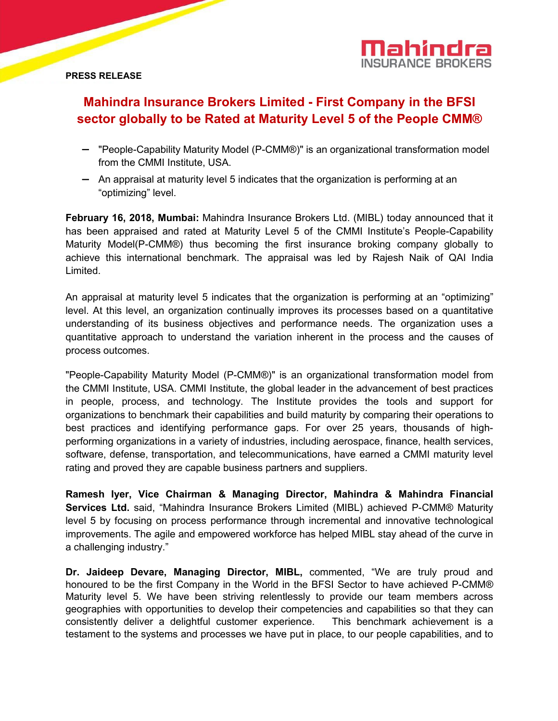

## **PRESS RELEASE**

# **Mahindra Insurance Brokers Limited - First Company in the BFSI sector globally to be Rated atMaturity Level 5 of the People CMM®**

- "People-Capability Maturity Model (P-CMM®)" is an organizational transformation model from the CMMI Institute, USA.
- $-$  An appraisal at maturity level 5 indicates that the organization is performing at an "optimizing" level.

**February 16, 2018, Mumbai:** Mahindra Insurance Brokers Ltd. (MIBL) today announced that it has been appraised and rated at Maturity Level 5 of the CMMI Institute's People-Capability Maturity Model(P-CMM®) thus becoming the first insurance broking company globally to achieve this international benchmark. The appraisal was led by Rajesh Naik of QAI India Limited.

An appraisal at maturity level 5 indicates that the organization is performing at an "optimizing" level. At this level, an organization continually improves its processes based on a quantitative understanding of its business objectives and performance needs. The organization uses a quantitative approach to understand the variation inherent in the process and the causes of process outcomes.

"People-Capability Maturity Model (P-CMM®)" is an organizational transformation model from the CMMI Institute, USA. CMMI Institute, the global leader in the advancement of best practices in people, process, and technology. The Institute provides the tools and support for organizations to benchmark their capabilities and build maturity by comparing their operations to best practices and identifying performance gaps. For over 25 years, thousands of highperforming organizations in a variety of industries, including aerospace, finance, health services, software, defense, transportation, and telecommunications, have earned a CMMI maturity level rating and proved they are capable business partners and suppliers.

**Ramesh Iyer, Vice Chairman & Managing Director, Mahindra & Mahindra Financial Services Ltd.** said, "Mahindra Insurance Brokers Limited (MIBL) achieved P-CMM® Maturity level 5 by focusing on process performance through incremental and innovative technological improvements. The agile and empowered workforce has helped MIBL stay ahead of the curve in a challenging industry."

**Dr. Jaideep Devare, Managing Director, MIBL,** commented, "We are truly proud and honoured to be the first Company in the World in the BFSI Sector to have achieved P-CMM® Maturity level 5. We have been striving relentlessly to provide our team members across geographies with opportunities to develop their competencies and capabilities so that they can consistently deliver a delightful customer experience. This benchmark achievement is a testament to the systems and processes we have put in place, to our people capabilities, and to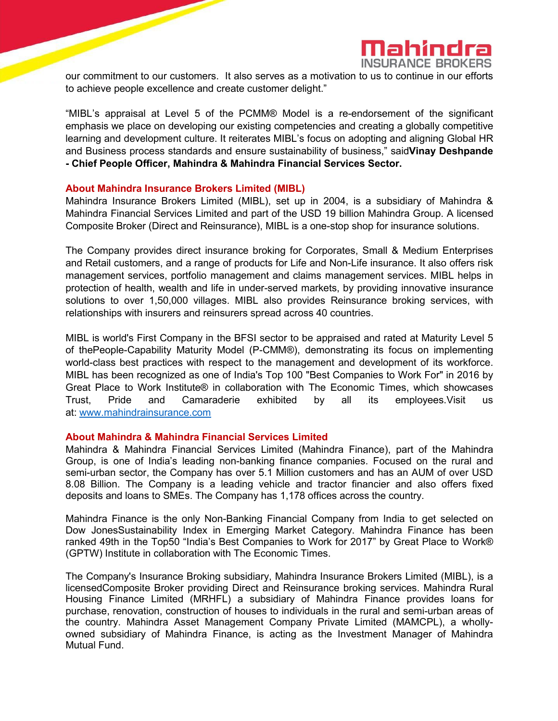

our commitment to our customers. It also serves as a motivation to us to continue in our efforts to achieve people excellence and create customer delight."

"MIBL's appraisal at Level 5 of the PCMM® Model is a re-endorsement of the significant emphasis we place on developing our existing competencies and creating a globally competitive learning and development culture. It reiterates MIBL's focus on adopting and aligning Global HR and Business process standards and ensure sustainability of business," said**Vinay Deshpande - Chief People Officer, Mahindra & Mahindra Financial Services Sector.**

#### **About Mahindra Insurance Brokers Limited (MIBL)**

Mahindra Insurance Brokers Limited (MIBL), set up in 2004, is a subsidiary of Mahindra & Mahindra Financial Services Limited and part of the USD 19 billion Mahindra Group. A licensed Composite Broker (Direct and Reinsurance), MIBL is a one-stop shop for insurance solutions.

The Company provides direct insurance broking for Corporates, Small & Medium Enterprises and Retail customers, and a range of products for Life and Non-Life insurance. It also offers risk management services, portfolio management and claims management services. MIBL helps in protection of health, wealth and life in under-served markets, by providing innovative insurance solutions to over 1,50,000 villages. MIBL also provides Reinsurance broking services, with relationships with insurers and reinsurers spread across 40 countries.

MIBL isworld's First Company in the BFSI sector to be appraised and rated at Maturity Level 5 of thePeople-Capability Maturity Model (P-CMM®), demonstrating its focus on implementing world-class best practices with respect to the management and development of its workforce. MIBL has been recognized as one of India's Top 100 "Best Companies to Work For" in 2016 by Great Place to Work Institute® in collaboration with The Economic Times, which showcases Trust, Pride and Camaraderie exhibited by all its employees.Visit us at: [www.mahindrainsurance.com](http://www.mahindrainsurance.com/)

## **About Mahindra & Mahindra Financial Services Limited**

Mahindra & Mahindra Financial Services Limited (Mahindra Finance), part of the Mahindra Group, is one of India's leading non-banking finance companies. Focused on the rural and semi-urban sector, the Company has over 5.1 Million customers and has an AUM of over USD 8.08 Billion. The Company is a leading vehicle and tractor financier and also offers fixed deposits and loans to SMEs. The Company has 1,178 offices across the country.

Mahindra Finance is the only Non-Banking Financial Company from India to get selected on Dow JonesSustainability Index in Emerging Market Category. Mahindra Finance has been ranked 49th in the Top50 "India's Best Companies to Work for 2017" by Great Place to Work® (GPTW) Institute in collaboration with The Economic Times.

The Company's Insurance Broking subsidiary, Mahindra Insurance Brokers Limited (MIBL), is a licensedComposite Broker providing Direct and Reinsurance broking services. Mahindra Rural Housing Finance Limited (MRHFL) a subsidiary of Mahindra Finance provides loans for purchase, renovation, construction of houses to individuals in the rural and semi-urban areas of the country. Mahindra Asset Management Company Private Limited (MAMCPL), a whollyowned subsidiary of Mahindra Finance, is acting as the Investment Manager of Mahindra Mutual Fund.